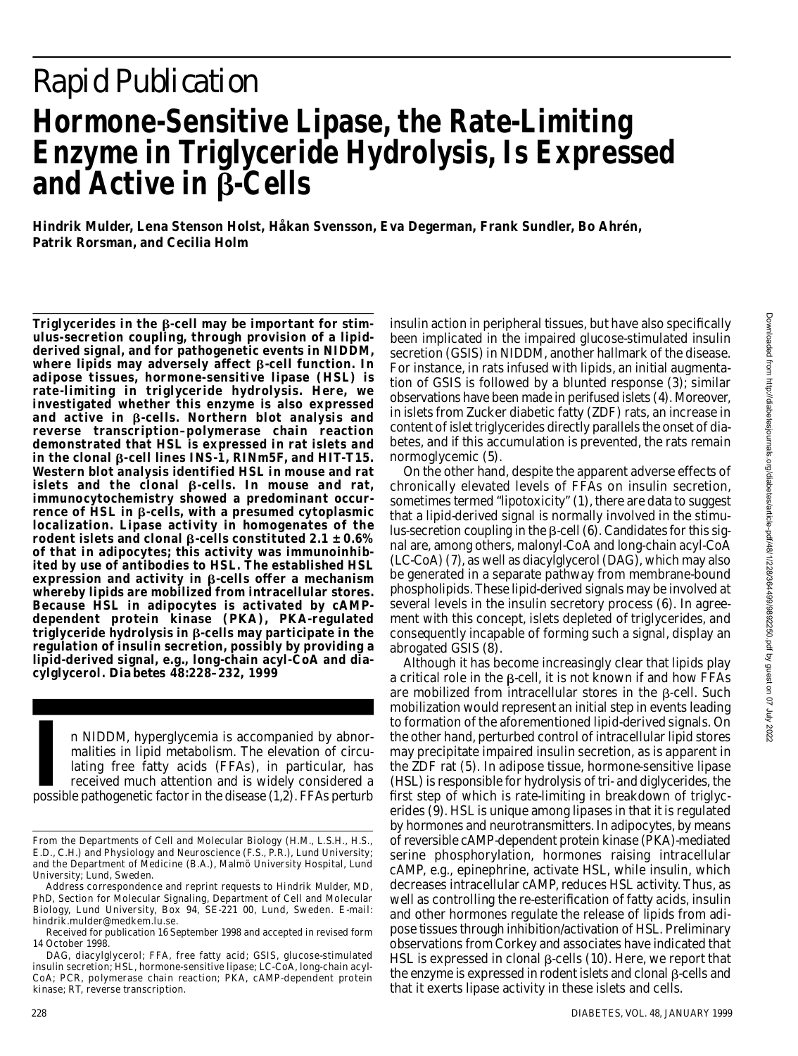# *Rapid Publication* **Hormone-Sensitive Lipase, the Rate-Limiting Enzyme in Triglyceride Hydrolysis, Is Expressed and Active in β-Cells**

**Hindrik Mulder, Lena Stenson Holst, Håkan Svensson, Eva Degerman, Frank Sundler, Bo Ahrén, Patrik Rorsman, and Cecilia Holm**

Triglycerides in the **B-cell** may be important for stim**ulus-secretion coupling, through provision of a lipidderived signal, and for pathogenetic events in NIDDM,** where lipids may adversely affect β-cell function. In **adipose tissues, hormone-sensitive lipase (HSL) is rate-limiting in triglyceride hydrolysis. Here, we investigated whether this enzyme is also expressed** and active in β-cells. Northern blot analysis and **reverse transcription–polymerase chain reaction demonstrated that HSL is expressed in rat islets and** in the clonal β-cell lines INS-1, RINm5F, and HIT-T15. **Western blot analysis identified HSL in mouse and rat** islets and the clonal  $\beta$ -cells. In mouse and rat, **immunocytochemistry showed a predominant occur** $r$ ence of HSL in  $\beta$ -cells, with a presumed cytoplasmic **localization. Lipase activity in homogenates of the** rodent islets and clonal  $\beta$ -cells constituted 2.1  $\pm$  0.6% **of that in adipocytes; this activity was immunoinhibited by use of antibodies to HSL. The established HSL**  $expression$  and activity in  $\beta$ -cells offer a mechanism **whereby lipids are mobilized from intracellular stores. Because HSL in adipocytes is activated by cAMPdependent protein kinase (PKA), PKA-regulated** triglyceride hydrolysis in β-cells may participate in the **regulation of insulin secretion, possibly by providing a lipid-derived signal, e.g., long-chain acyl-CoA and diacylglycerol.** *Diabetes* **48:228–232, 1999**

In NIDDM, hyperglycemia is accompanied by abnormalities in lipid metabolism. The elevation of circulating free fatty acids (FFAs), in particular, has received much attention and is widely considered a possible pathogenetic n NIDDM, hyperglycemia is accompanied by abnormalities in lipid metabolism. The elevation of circulating free fatty acids (FFAs), in particular, has received much attention and is widely considered a

insulin action in peripheral tissues, but have also specifically been implicated in the impaired glucose-stimulated insulin secretion (GSIS) in NIDDM, another hallmark of the disease. For instance, in rats infused with lipids, an initial augmentation of GSIS is followed by a blunted response (3); similar observations have been made in perifused islets (4). Moreover, in islets from Zucker diabetic fatty (ZDF) rats, an increase in content of islet triglycerides directly parallels the onset of diabetes, and if this accumulation is prevented, the rats remain normoglycemic (5).

On the other hand, despite the apparent adverse effects of chronically elevated levels of FFAs on insulin secretion, sometimes termed "lipotoxicity" (1), there are data to suggest that a lipid-derived signal is normally involved in the stimu- $\mu$ us-secretion coupling in the  $\beta$ -cell (6). Candidates for this signal are, among others, malonyl-CoA and long-chain acyl-CoA (LC-CoA) (7), as well as diacylglycerol (DAG), which may also be generated in a separate pathway from membrane-bound phospholipids. These lipid-derived signals may be involved at several levels in the insulin secretory process (6). In agreement with this concept, islets depleted of triglycerides, and consequently incapable of forming such a signal, display an abrogated GSIS (8).

Although it has become increasingly clear that lipids play a critical role in the  $\beta$ -cell, it is not known if and how FFAs are mobilized from intracellular stores in the  $\beta$ -cell. Such mobilization would represent an initial step in events leading to formation of the aforementioned lipid-derived signals. On the other hand, perturbed control of intracellular lipid stores may precipitate impaired insulin secretion, as is apparent in the ZDF rat (5). In adipose tissue, hormone-sensitive lipase (HSL) is responsible for hydrolysis of tri- and diglycerides, the first step of which is rate-limiting in breakdown of triglycerides (9). HSL is unique among lipases in that it is regulated by hormones and neurotransmitters. In adipocytes, by means of reversible cAMP-dependent protein kinase (PKA)-mediated serine phosphorylation, hormones raising intracellular cAMP, e.g., epinephrine, activate HSL, while insulin, which decreases intracellular cAMP, reduces HSL activity. Thus, as well as controlling the re-esterification of fatty acids, insulin and other hormones regulate the release of lipids from adipose tissues through inhibition/activation of HSL. Preliminary observations from Corkey and associates have indicated that HSL is expressed in clonal  $\beta$ -cells (10). Here, we report that the enzyme is expressed in rodent islets and clonal  $\beta$ -cells and that it exerts lipase activity in these islets and cells.

From the Departments of Cell and Molecular Biology (H.M., L.S.H., H.S., E.D., C.H.) and Physiology and Neuroscience (F.S., P.R.), Lund University; and the Department of Medicine (B.A.), Malmö University Hospital, Lund University; Lund, Sweden.

Address correspondence and reprint requests to Hindrik Mulder, MD, PhD, Section for Molecular Signaling, Department of Cell and Molecular Biology, Lund University, Box 94, SE-221 00, Lund, Sweden. E-mail: hindrik.mulder@medkem.lu.se.

Received for publication 16 September 1998 and accepted in revised form 14 October 1998.

DAG, diacylglycerol; FFA, free fatty acid; GSIS, glucose-stimulated insulin secretion; HSL, hormone-sensitive lipase; LC-CoA, long-chain acyl-CoA; PCR, polymerase chain reaction; PKA, cAMP-dependent protein kinase; RT, reverse transcription.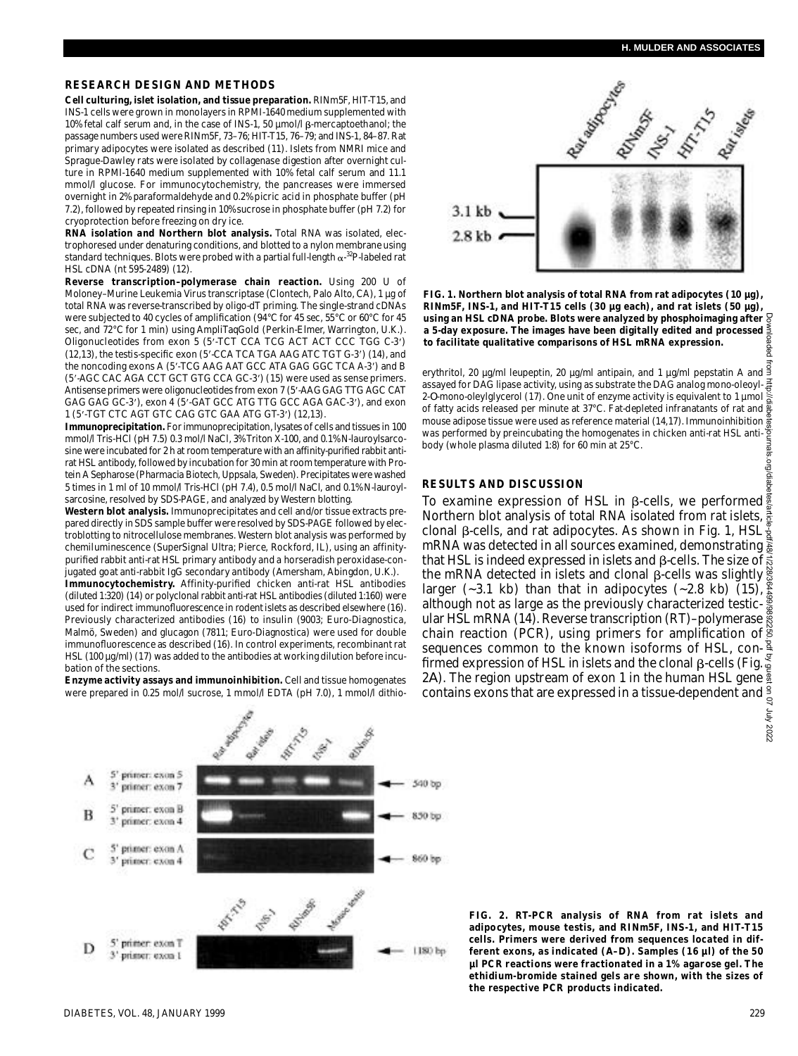## **RESEARCH DESIGN AND METHODS**

**Cell culturing, islet isolation, and tissue preparation. RINm5F, HIT-T15, and** INS-1 cells were grown in monolayers in RPMI-1640 medium supplemented with 10% fetal calf serum and, in the case of INS-1, 50  $\mu$ mol/l  $\beta$ -mercaptoethanol; the passage numbers used were RINm5F, 73–76; HIT-T15, 76–79; and INS-1, 84–87. Rat primary adipocytes were isolated as described (11). Islets from NMRI mice and Sprague-Dawley rats were isolated by collagenase digestion after overnight culture in RPMI-1640 medium supplemented with 10% fetal calf serum and 11.1 mmol/l glucose. For immunocytochemistry, the pancreases were immersed overnight in 2% paraformaldehyde and 0.2% picric acid in phosphate buffer (pH 7.2), followed by repeated rinsing in 10% sucrose in phosphate buffer (pH 7.2) for cryoprotection before freezing on dry ice.

**RNA isolation and Northern blot analysis.** Total RNA was isolated, electrophoresed under denaturing conditions, and blotted to a nylon membrane using standard techniques. Blots were probed with a partial full-length  $\alpha$ -<sup>32</sup>P-labeled rat HSL cDNA (nt 595-2489) (12).

**Reverse transcription–polymerase chain reaction.** Using 200 U of Moloney–Murine Leukemia Virus transcriptase (Clontech, Palo Alto, CA), 1 µg of total RNA was reverse-transcribed by oligo-dT priming. The single-strand cDNAs were subjected to 40 cycles of amplification (94°C for 45 sec, 55°C or 60°C for 45 sec, and 72°C for 1 min) using AmpliTagGold (Perkin-Elmer, Warrington, U.K.). Oligonucleotides from exon 5 (5'-TCT CCA TCG ACT ACT CCC TGG C-3') (12,13), the testis-specific exon (5'-CCA TCA TGA AAG ATC TGT G-3') (14), and the noncoding exons A (5'-TCG AAG AAT GCC ATA GAG GGC TCA A-3') and B (5'-AGC CAC AGA CCT GCT GTG CCA GC-3') (15) were used as sense primers. Antisense primers were oligonucleotides from exon 7 (5'-AAG GAG TTG AGC CAT GAG GAG GC-3'), exon 4 (5'-GAT GCC ATG TTG GCC AGA GAC-3'), and exon 1 (5'-TGT CTC AGT GTC CAG GTC GAA ATG GT-3') (12,13)

**Immunoprecipitation.** For immunoprecipitation, lysates of cells and tissues in 100 mmol/l Tris-HCl (pH 7.5) 0.3 mol/l NaCl, 3% Triton X-100, and 0.1% N-lauroylsarcosine were incubated for 2 h at room temperature with an affinity-purified rabbit antirat HSL antibody, followed by incubation for 30 min at room temperature with Protein A Sepharose (Pharmacia Biotech, Uppsala, Sweden). Precipitates were washed 5 times in 1 ml of 10 mmol/l Tris-HCl (pH 7.4), 0.5 mol/l NaCl, and 0.1% N-lauroylsarcosine, resolved by SDS-PAGE, and analyzed by Western blotting.

**Western blot analysis.** Immunoprecipitates and cell and/or tissue extracts prepared directly in SDS sample buffer were resolved by SDS-PAGE followed by electroblotting to nitrocellulose membranes. Western blot analysis was performed by chemiluminescence (SuperSignal Ultra; Pierce, Rockford, IL), using an affinitypurified rabbit anti-rat HSL primary antibody and a horseradish peroxidase-conjugated goat anti-rabbit IgG secondary antibody (Amersham, Abingdon, U.K.).

**Immunocytochemistry.** Affinity-purified chicken anti-rat HSL antibodies (diluted 1:320) (14) or polyclonal rabbit anti-rat HSL antibodies (diluted 1:160) were used for indirect immunofluorescence in rodent islets as described elsewhere (16). Previously characterized antibodies (16) to insulin (9003; Euro-Diagnostica, Malmö, Sweden) and glucagon (7811; Euro-Diagnostica) were used for double immunofluorescence as described (16). In control experiments, recombinant rat HSL (100 µg/ml) (17) was added to the antibodies at working dilution before incubation of the sections.

**Enzyme activity assays and immunoinhibition.** Cell and tissue homogenates were prepared in 0.25 mol/l sucrose, 1 mmol/l EDTA (pH 7.0), 1 mmol/l dithio-



**FIG. 1. Northern blot analysis of total RNA from rat adipocytes (10 µg),** RINm5F, INS-1, and HIT-T15 cells (30 µg each), and rat islets (50 µg), **using an HSL cDNA probe. Blots were analyzed by phosphoimaging after a 5-day exposure. The images have been digitally edited and processed to facilitate qualitative comparisons of HSL mRNA expression.**

erythritol, 20 µg/ml leupeptin, 20 µg/ml antipain, and 1 µg/ml pepstatin A and 3 assayed for DAG lipase activity, using as substrate the DAG analog mono-oleoyl-2 -*O*-mono-oleylglycerol (17). One unit of enzyme activity is equivalent to 1 µmol of fatty acids released per minute at 37°C. Fat-depleted infranatants of rat and mouse adipose tissue were used as reference material (14,17). Immunoinhibition was performed by preincubating the homogenates in chicken anti-rat HSL antibody (whole plasma diluted 1:8) for 60 min at 25°C.

### **RESULTS AND DISCUSSION**

To examine expression of HSL in  $\beta$ -cells, we performed  $\frac{\pi}{2}$ Northern blot analysis of total RNA isolated from rat islets,  $\frac{3}{8}$ clonal  $\beta$ -cells, and rat adipocytes. As shown in Fig. 1, HSL  $\frac{1}{2}$ mRNA was detected in all sources examined, demonstrating that HSL is indeed expressed in islets and ß-cells. The size of  $\vec{\tilde{\mathbf{s}}}$ the mRNA detected in islets and clonal β-cells was slightly  $\mathrm{\ddot{g}}$ larger (~3.1 kb) than that in adipocytes (~2.8 kb) (15),  $\frac{8}{5}$ although not as large as the previously characterized testicular HSL mRNA (14). Reverse transcription (RT)–polymerase  $\ddot{\tilde{g}}$ chain reaction (PCR), using primers for amplification of sequences common to the known isoforms of HSL, confirmed expression of HSL in islets and the clonal  $\beta$ -cells (Fig.  $\leq$ 2*A*). The region upstream of exon 1 in the human HSL gene contains exons that are expressed in a tissue-dependent and  $\frac{9}{5}$ Downloaded from http://diabetesjournals.org/diabetes/article-pdf/48/1/228/364499/9892250.pdf by guest on 07 July 2022



**FIG. 2. RT-PCR analysis of RNA from rat islets and** adipocytes, mouse testis, and RINm5F, INS-1, and HIT-T15 **cells. Primers were derived from sequences located in different exons, as indicated (***A***–***D***). Samples (16 µl) of the 50 µl PCR reactions were fractionated in a 1% agarose gel. The ethidium-bromide stained gels are shown, with the sizes of the respective PCR products indicated.**

2022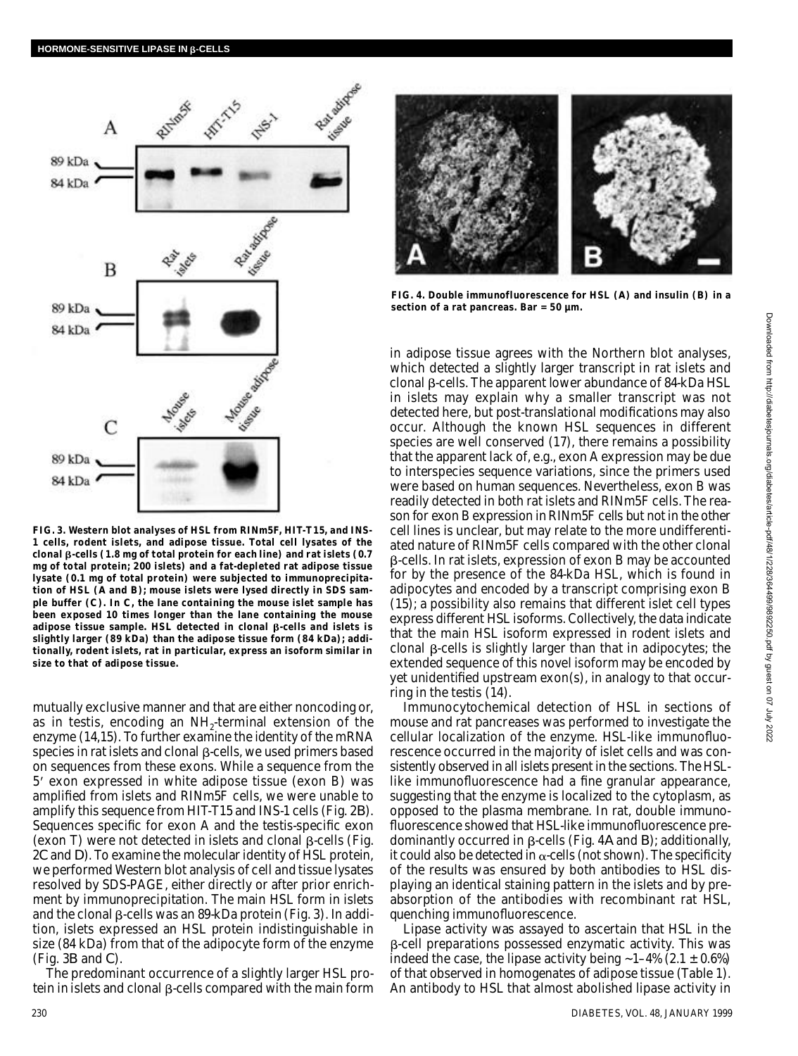

**FIG. 3. Western blot analyses of HSL from RINm5F, HIT-T15, and INS-1 cells, rodent islets, and adipose tissue. Total cell lysates of the** clonal β-cells (1.8 mg of total protein for each line) and rat islets (0.7 **mg of total protein; 200 islets) and a fat-depleted rat adipose tissue lysate (0.1 mg of total protein) were subjected to immunoprecipitation of HSL (***A* **and** *B***); mouse islets were lysed directly in SDS sample buffer (***C***). In** *C***, the lane containing the mouse islet sample has been exposed 10 times longer than the lane containing the mouse** adipose tissue sample. HSL detected in clonal  $\beta$ -cells and islets is **slightly larger (89 kDa) than the adipose tissue form (84 kDa); addi**tionally, rodent islets, rat in particular, express an isoform similar in **size to that of adipose tissue.**

mutually exclusive manner and that are either noncoding or, as in testis, encoding an  $NH_2$ -terminal extension of the enzyme (14,15). To further examine the identity of the mRNA species in rat islets and clonal  $\beta$ -cells, we used primers based on sequences from these exons. While a sequence from the 5 exon expressed in white adipose tissue (exon B) was amplified from islets and RINm5F cells, we were unable to amplify this sequence from HIT-T15 and INS-1 cells (Fig. 2*B*) . Sequences specific for exon A and the testis-specific exon (exon T) were not detected in islets and clonal  $\beta$ -cells (Fig. 2*C* and *D*). To examine the molecular identity of HSL protein, we performed Western blot analysis of cell and tissue lysates resolved by SDS-PAGE, either directly or after prior enrichment by immunoprecipitation. The main HSL form in islets and the clonal  $\beta$ -cells was an 89-kDa protein (Fig. 3). In addition, islets expressed an HSL protein indistinguishable in size (84 kDa) from that of the adipocyte form of the enzyme (Fig. 3*B* and *C*) .

The predominant occurrence of a slightly larger HSL protein in islets and clonal  $\beta$ -cells compared with the main form



**FIG. 4. Double immunofluorescence for HSL (***A***) and insulin (***B***) in a section of a rat pancreas. Bar = 50 µm.**

in adipose tissue agrees with the Northern blot analyses, which detected a slightly larger transcript in rat islets and  $c$ lonal  $\beta$ -cells. The apparent lower abundance of 84-kDa HSL in islets may explain why a smaller transcript was not detected here, but post-translational modifications may also occur. Although the known HSL sequences in different species are well conserved (17), there remains a possibility that the apparent lack of, e.g., exon A expression may be due to interspecies sequence variations, since the primers used were based on human sequences. Nevertheless, exon B was readily detected in both rat islets and RINm5F cells. The reason for exon B expression in RINm5F cells but not in the other cell lines is unclear, but may relate to the more undifferentiated nature of RINm5F cells compared with the other clonal -cells. In rat islets, expression of exon B may be accounted for by the presence of the 84-kDa HSL, which is found in adipocytes and encoded by a transcript comprising exon B (15); a possibility also remains that different islet cell types express different HSL isoforms. Collectively, the data indicate that the main HSL isoform expressed in rodent islets and clonal  $\beta$ -cells is slightly larger than that in adipocytes; the extended sequence of this novel isoform may be encoded by yet unidentified upstream exon(s), in analogy to that occurring in the testis (14).

Immunocytochemical detection of HSL in sections of mouse and rat pancreases was performed to investigate the cellular localization of the enzyme. HSL-like immunofluorescence occurred in the majority of islet cells and was consistently observed in all islets present in the sections. The HSLlike immunofluorescence had a fine granular appearance, suggesting that the enzyme is localized to the cytoplasm, as opposed to the plasma membrane. In rat, double immunofluorescence showed that HSL-like immunofluorescence predominantly occurred in  $\beta$ -cells (Fig. 4*A* and *B*); additionally, it could also be detected in  $\alpha$ -cells (not shown). The specificity of the results was ensured by both antibodies to HSL displaying an identical staining pattern in the islets and by preabsorption of the antibodies with recombinant rat HSL, quenching immunofluorescence.

Lipase activity was assayed to ascertain that HSL in the -cell preparations possessed enzymatic activity. This was indeed the case, the lipase activity being  $~1-4\%$  (2.1  $\pm$  0.6%) of that observed in homogenates of adipose tissue (Table 1). An antibody to HSL that almost abolished lipase activity in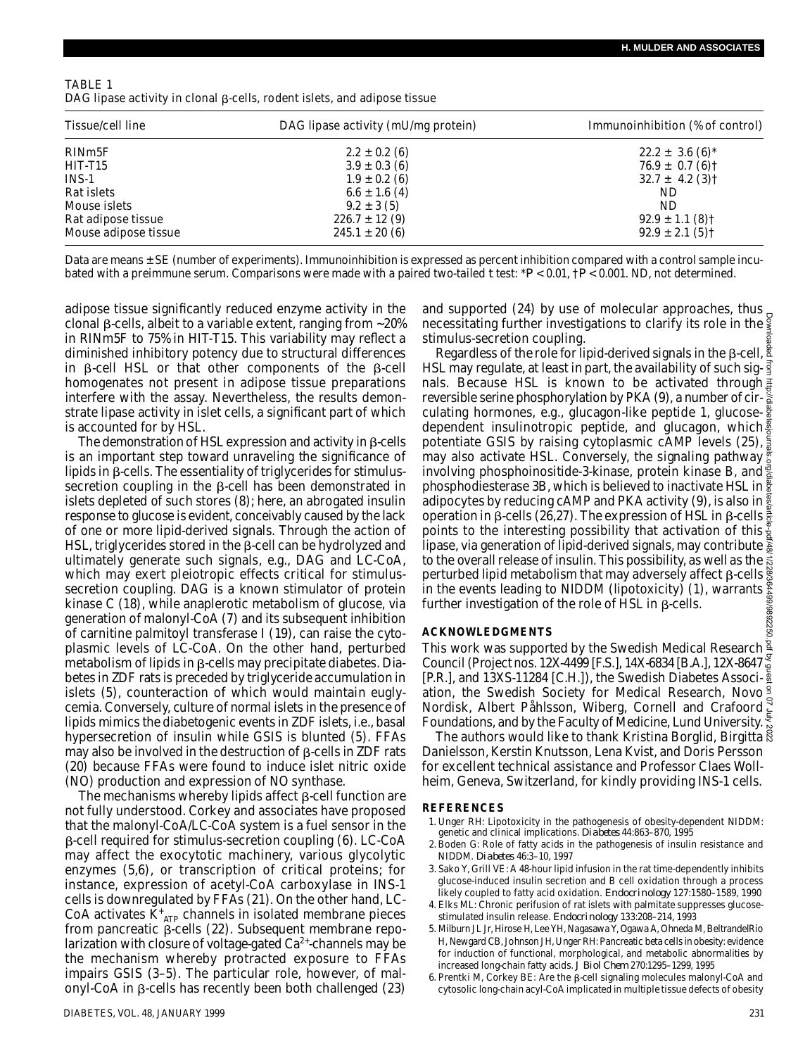| TABLE 1 |                                                                                 |
|---------|---------------------------------------------------------------------------------|
|         | DAG lipase activity in clonal $\beta$ -cells, rodent islets, and adipose tissue |

| Tissue/cell line     | DAG lipase activity (mU/mg protein) | Immunoinhibition (% of control) |
|----------------------|-------------------------------------|---------------------------------|
| RIN <sub>m5</sub> F  | $2.2 \pm 0.2$ (6)                   | $22.2 \pm 3.6$ (6) <sup>*</sup> |
| HIT-T15              | $3.9 \pm 0.3$ (6)                   | $76.9 \pm 0.7$ (6) †            |
| $INS-1$              | $1.9 \pm 0.2$ (6)                   | $32.7 \pm 4.2$ (3) †            |
| Rat islets           | $6.6 \pm 1.6$ (4)                   | ND.                             |
| Mouse islets         | $9.2 \pm 3(5)$                      | ND.                             |
| Rat adipose tissue   | $226.7 \pm 12(9)$                   | $92.9 \pm 1.1$ (8) †            |
| Mouse adipose tissue | $245.1 \pm 20(6)$                   | $92.9 \pm 2.1(5)$ †             |

Data are means ± SE (number of experiments). Immunoinhibition is expressed as percent inhibition compared with a control sample incubated with a preimmune serum. Comparisons were made with a paired two-tailed *t* test: \**P* < 0.01, †*P* < 0.001. ND, not determined.

adipose tissue significantly reduced enzyme activity in the clonal  $\beta$ -cells, albeit to a variable extent, ranging from  $\sim$ 20% in RINm5F to 75% in HIT-T15. This variability may reflect a diminished inhibitory potency due to structural differences in  $\beta$ -cell HSL or that other components of the  $\beta$ -cell homogenates not present in adipose tissue preparations interfere with the assay. Nevertheless, the results demonstrate lipase activity in islet cells, a significant part of which is accounted for by HSL.

The demonstration of HSL expression and activity in  $\beta$ -cells is an important step toward unraveling the significance of lipids in  $\beta$ -cells. The essentiality of triglycerides for stimulussecretion coupling in the  $\beta$ -cell has been demonstrated in islets depleted of such stores (8); here, an abrogated insulin response to glucose is evident, conceivably caused by the lack of one or more lipid-derived signals. Through the action of HSL, triglycerides stored in the  $\beta$ -cell can be hydrolyzed and ultimately generate such signals, e.g., DAG and LC-CoA, which may exert pleiotropic effects critical for stimulussecretion coupling. DAG is a known stimulator of protein kinase C (18), while anaplerotic metabolism of glucose, via generation of malonyl-CoA (7) and its subsequent inhibition of carnitine palmitoyl transferase I (19), can raise the cytoplasmic levels of LC-CoA. On the other hand, perturbed metabolism of lipids in  $\beta$ -cells may precipitate diabetes. Diabetes in ZDF rats is preceded by triglyceride accumulation in islets (5), counteraction of which would maintain euglycemia. Conversely, culture of normal islets in the presence of lipids mimics the diabetogenic events in ZDF islets, i.e., basal hypersecretion of insulin while GSIS is blunted (5). FFAs may also be involved in the destruction of  $\beta$ -cells in ZDF rats (20) because FFAs were found to induce islet nitric oxide (NO) production and expression of NO synthase.

The mechanisms whereby lipids affect  $\beta$ -cell function are not fully understood. Corkey and associates have proposed that the malonyl-CoA/LC-CoA system is a fuel sensor in the  $\beta$ -cell required for stimulus-secretion coupling (6). LC-CoA may affect the exocytotic machinery, various glycolytic enzymes (5,6), or transcription of critical proteins; for instance, expression of acetyl-CoA carboxylase in INS-1 cells is downregulated by FFAs (21). On the other hand, LC-CoA activates  $\check{K}^*_{ATP}$  channels in isolated membrane pieces from pancreatic  $\beta$ -cells (22). Subsequent membrane repolarization with closure of voltage-gated  $Ca<sup>2+</sup>$ -channels may be the mechanism whereby protracted exposure to FFAs impairs GSIS (3–5). The particular role, however, of malonyl-CoA in  $\beta$ -cells has recently been both challenged (23)

and supported (24) by use of molecular approaches, thus necessitating further investigations to clarify its role in the stimulus-secretion coupling.

Regardless of the role for lipid-derived signals in the  $\beta$ -cell,  $\frac{8}{3}$ HSL may regulate, at least in part, the availability of such signals. Because HSL is known to be activated through  $\frac{3}{2}$ reversible serine phosphorylation by PKA (9), a number of circulating hormones, e.g., glucagon-like peptide 1, glucosedependent insulinotropic peptide, and glucagon, which. potentiate GSIS by raising cytoplasmic cAMP levels (25), may also activate HSL. Conversely, the signaling pathway involving phosphoinositide-3-kinase, protein kinase B, and phosphodiesterase 3B, which is believed to inactivate HSL in adipocytes by reducing cAMP and PKA activity (9), is also in  $\frac{3}{5}$ operation in β-cells (26,27). The expression of HSL in β-cells  $\frac{3}{6}$ points to the interesting possibility that activation of this  $\frac{y}{2}$ lipase, via generation of lipid-derived signals, may contribute  $\vec{\hat{x}}$ to the overall release of insulin. This possibility, as well as the  $\vec{\tilde{\mathbb{S}}}$ perturbed lipid metabolism that may adversely affect  $\beta$ -cells  $\frac{8}{8}$ in the events leading to NIDDM (lipotoxicity) (1), warrants further investigation of the role of HSL in  $\beta$ -cells. Downloaded from http://diabetesjournals.org/diabetes/article-pdf/48/1/228/364499/9892250.pdf by guest on 07 July 2022

#### **A C K N O W L E D G M E N T S**

This work was supported by the Swedish Medical Research<sup>2</sup> Council (Project nos. 12X-4499 [F.S.], 14X-6834 [B.A.], 12X-8647 [P.R.], and 13XS-11284 [C.H.]), the Swedish Diabetes Associ- $\frac{3}{4}$ ation, the Swedish Society for Medical Research, Novo Nordisk, Albert Påhlsson, Wiberg, Cornell and Crafoord  $\frac{3}{5}$ <br>Nordisk, Albert Påhlsson, Wiberg, Cornell and Crafoord  $\frac{3}{5}$ Foundations, and by the Faculty of Medicine, Lund University.

The authors would like to thank Kristina Borglid, Birgitta Danielsson, Kerstin Knutsson, Lena Kvist, and Doris Persson for excellent technical assistance and Professor Claes Wollheim, Geneva, Switzerland, for kindly providing INS-1 cells.

#### **R E F E R E N C E S**

- 1 . Unger RH: Lipotoxicity in the pathogenesis of obesity-dependent NIDDM: genetic and clinical implications. *Diabetes* 44:863-870, 1995
- 2 .Boden G: Role of fatty acids in the pathogenesis of insulin resistance and NIDDM. *D i a b e t e s* 46:3–10, 1997
- 3. Sako Y, Grill VE: A 48-hour lipid infusion in the rat time-dependently inhibits glucose-induced insulin secretion and B cell oxidation through a process likely coupled to fatty acid oxidation. *Endocrinology* 127:1580–1589, 1990
- 4. Elks ML: Chronic perifusion of rat islets with palmitate suppresses glucosestimulated insulin release. *Endocrinology* 133:208-214, 1993
- 5 . Milburn JL Jr, Hirose H, Lee YH, Nagasawa Y, Ogawa A, Ohneda M, BeltrandelRio H, Newgard CB, Johnson JH, Unger RH: Pancreatic beta cells in obesity: evidence for induction of functional, morphological, and metabolic abnormalities by increased long-chain fatty acids. *J Biol Chem* 270:1295–1299, 1995
- 6. Prentki M, Corkey BE: Are the  $\beta$ -cell signaling molecules malonyl-CoA and cytosolic long-chain acyl-CoA implicated in multiple tissue defects of obesity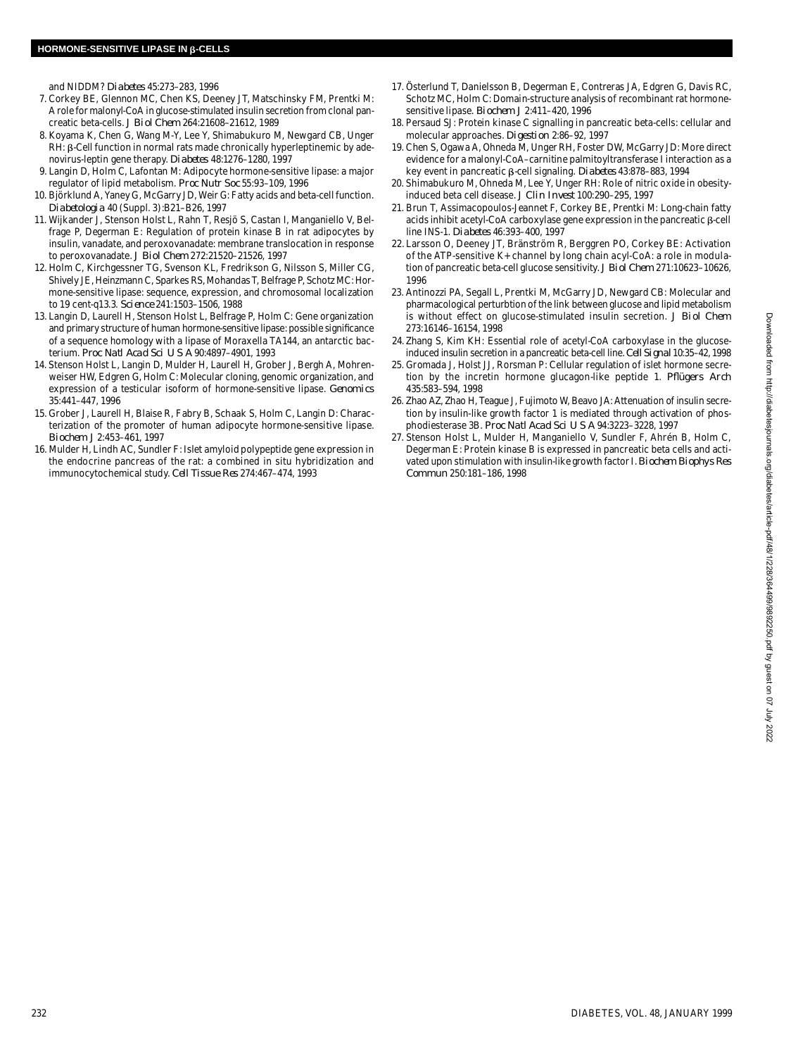and NIDDM? *Diabetes* 45:273-283, 1996

- 7 . Corkey BE, Glennon MC, Chen KS, Deeney JT, Matschinsky FM, Prentki M: A role for malonyl-CoA in glucose-stimulated insulin secretion from clonal pancreatic beta-cells. *J Biol Chem* 264:21608–21612, 1989
- 8 . Koyama K, Chen G, Wang M-Y, Lee Y, Shimabukuro M, Newgard CB, Unger  $RH: \beta$ -Cell function in normal rats made chronically hyperleptinemic by adenovirus-leptin gene therapy. *Diabetes* 48:1276-1280, 1997
- 9 . Langin D, Holm C, Lafontan M: Adipocyte hormone-sensitive lipase: a major regulator of lipid metabolism. *Proc Nutr Soc* 55:93–109, 1996
- 10. Björklund A, Yaney G, McGarry JD, Weir G: Fatty acids and beta-cell function. *D i a b e t o l o g i a* 40 (Suppl. 3):B21–B26, 1997
- 11. Wijkander J, Stenson Holst L, Rahn T, Resjö S, Castan I, Manganiello V, Belfrage P, Degerman E: Regulation of protein kinase B in rat adipocytes by insulin, vanadate, and peroxovanadate: membrane translocation in response to peroxovanadate. *J Biol Chem* 272:21520–21526, 1997
- 12. Holm C, Kirchgessner TG, Svenson KL, Fredrikson G, Nilsson S, Miller CG, Shively JE, Heinzmann C, Sparkes RS, Mohandas T, Belfrage P, Schotz MC: Hormone-sensitive lipase: sequence, expression, and chromosomal localization to 19 cent-q13.3. *Science* 241:1503-1506, 1988
- 13. Langin D, Laurell H, Stenson Holst L, Belfrage P, Holm C: Gene organization and primary structure of human hormone-sensitive lipase: possible significance of a sequence homology with a lipase of Moraxella TA144, an antarctic bacterium. *Proc Natl Acad Sci U S A* 90:4897–4901, 1993
- 14. Stenson Holst L, Langin D, Mulder H, Laurell H, Grober J, Bergh A, Mohrenweiser HW, Edgren G, Holm C: Molecular cloning, genomic organization, and expression of a testicular isoform of hormone-sensitive lipase. *Genomics* 35:441–447, 1996
- 15. Grober J, Laurell H, Blaise R, Fabry B, Schaak S, Holm C, Langin D: Characterization of the promoter of human adipocyte hormone-sensitive lipase. *Biochem J* 2:453–461, 1997
- 16. Mulder H, Lindh AC, Sundler F: Islet amyloid polypeptide gene expression in the endocrine pancreas of the rat: a combined in situ hybridization and immunocytochemical study. *Cell Tissue Res* 274:467–474, 1993
- 17. Österlund T, Danielsson B, Degerman E, Contreras JA, Edgren G, Davis RC, Schotz MC, Holm C: Domain-structure analysis of recombinant rat hormonesensitive lipase. *Biochem J* 2:411–420, 1996
- 18. Persaud SJ: Protein kinase C signalling in pancreatic beta-cells: cellular and molecular approaches. *Digestion* 2:86-92, 1997
- 19. Chen S, Ogawa A, Ohneda M, Unger RH, Foster DW, McGarry JD: More direct evidence for a malonyl-CoA–carnitine palmitoyltransferase I interaction as a key event in pancreatic β-cell signaling. *Diabetes* 43:878-883, 1994
- 20. Shimabukuro M, Ohneda M, Lee Y, Unger RH: Role of nitric oxide in obesityinduced beta cell disease. *J Clin Invest* 100:290–295, 1997
- 21. Brun T, Assimacopoulos-Jeannet F, Corkey BE, Prentki M: Long-chain fatty acids inhibit acetyl-CoA carboxylase gene expression in the pancreatic  $\beta$ -cell line INS-1. *Diabetes* 46:393-400, 1997
- 22. Larsson O, Deeney JT, Bränström R, Berggren PO, Corkey BE: Activation of the ATP-sensitive K+ channel by long chain acyl-CoA: a role in modulation of pancreatic beta-cell glucose sensitivity. *J Biol Chem* 271:10623-10626, 1996
- 23. Antinozzi PA, Segall L, Prentki M, McGarry JD, Newgard CB: Molecular and pharmacological perturbtion of the link between glucose and lipid metabolism is without effect on glucose-stimulated insulin secretion. *J Biol Chem* 273:16146–16154, 1998
- 24. Zhang S, Kim KH: Essential role of acetyl-CoA carboxylase in the glucoseinduced insulin secretion in a pancreatic beta-cell line. *Cell Signal* 10:35–42, 1998
- 25. Gromada J, Holst JJ, Rorsman P: Cellular regulation of islet hormone secretion by the incretin hormone glucagon-like peptide 1. Pflügers Arch 435:583–594, 1998
- 26. Zhao AZ, Zhao H, Teague J, Fujimoto W, Beavo JA: Attenuation of insulin secretion by insulin-like growth factor 1 is mediated through activation of phosphodiesterase 3B. *Proc Natl Acad Sci U S A* 94:3223–3228, 1997
- 27. Stenson Holst L, Mulder H, Manganiello V, Sundler F, Ahrén B, Holm C, Degerman E: Protein kinase B is expressed in pancreatic beta cells and activated upon stimulation with insulin-like growth factor I. *Biochem Biophys Res C o m m u n* 250:181–186, 1998